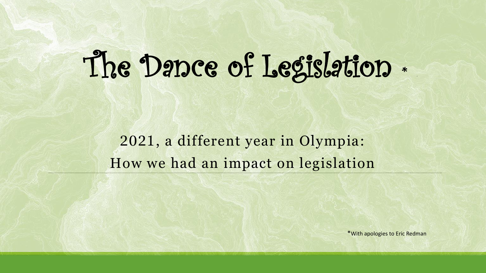# The Dance of Legislation \*

2021, a different year in Olympia: How we had an impact on legislation

\*With apologies to Eric Redman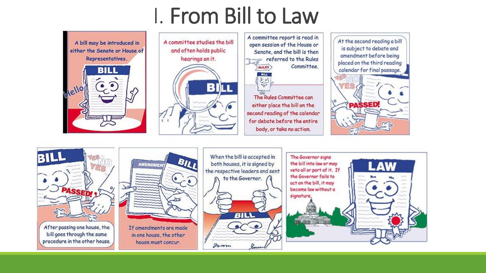#### I. From Bill to Law



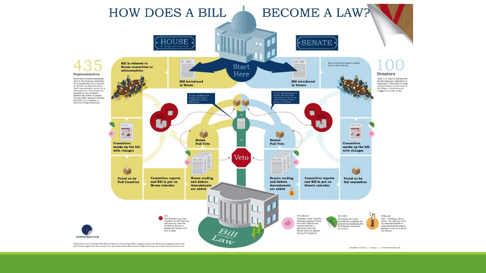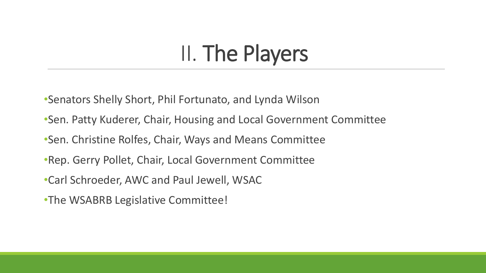## II. The Players

- •Senators Shelly Short, Phil Fortunato, and Lynda Wilson
- •Sen. Patty Kuderer, Chair, Housing and Local Government Committee
- •Sen. Christine Rolfes, Chair, Ways and Means Committee
- •Rep. Gerry Pollet, Chair, Local Government Committee
- •Carl Schroeder, AWC and Paul Jewell, WSAC
- •The WSABRB Legislative Committee!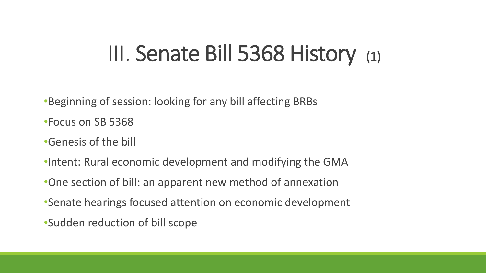#### III. Senate Bill 5368 History (1)

•Beginning of session: looking for any bill affecting BRBs

•Focus on SB 5368

- •Genesis of the bill
- •Intent: Rural economic development and modifying the GMA
- •One section of bill: an apparent new method of annexation
- •Senate hearings focused attention on economic development
- •Sudden reduction of bill scope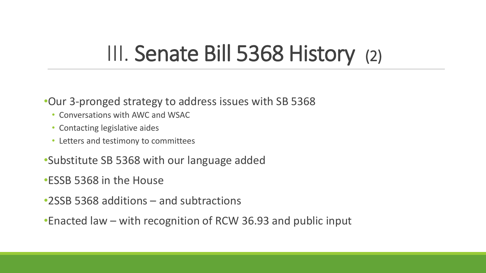#### III. Senate Bill 5368 History (2)

#### •Our 3-pronged strategy to address issues with SB 5368

- Conversations with AWC and WSAC
- Contacting legislative aides
- Letters and testimony to committees
- •Substitute SB 5368 with our language added
- •ESSB 5368 in the House
- •2SSB 5368 additions and subtractions
- •Enacted law with recognition of RCW 36.93 and public input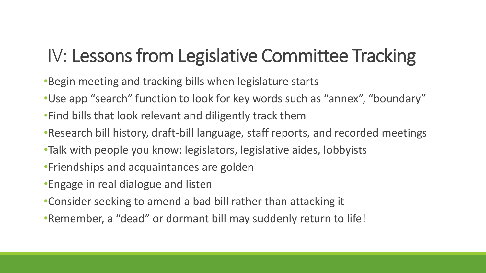#### IV: Lessons from Legislative Committee Tracking

- •Begin meeting and tracking bills when legislature starts
- •Use app "search" function to look for key words such as "annex", "boundary"
- •Find bills that look relevant and diligently track them
- •Research bill history, draft-bill language, staff reports, and recorded meetings
- •Talk with people you know: legislators, legislative aides, lobbyists
- •Friendships and acquaintances are golden
- •Engage in real dialogue and listen
- •Consider seeking to amend a bad bill rather than attacking it
- •Remember, a "dead" or dormant bill may suddenly return to life!